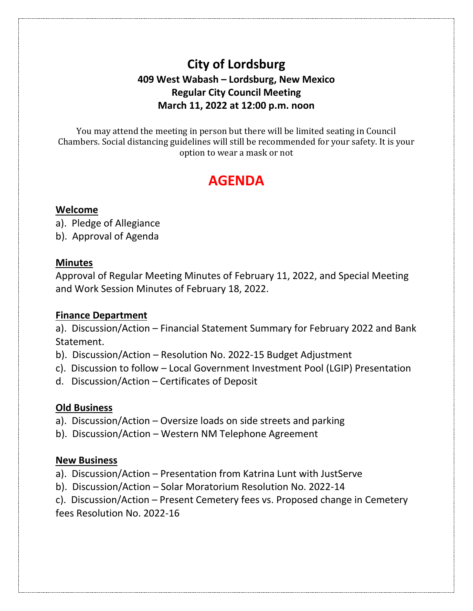## **City of Lordsburg 409 West Wabash – Lordsburg, New Mexico Regular City Council Meeting March 11, 2022 at 12:00 p.m. noon**

You may attend the meeting in person but there will be limited seating in Council Chambers. Social distancing guidelines will still be recommended for your safety. It is your option to wear a mask or not

# **AGENDA**

#### **Welcome**

a). Pledge of Allegiance

b). Approval of Agenda

#### **Minutes**

Approval of Regular Meeting Minutes of February 11, 2022, and Special Meeting and Work Session Minutes of February 18, 2022.

#### **Finance Department**

a). Discussion/Action – Financial Statement Summary for February 2022 and Bank Statement.

- b). Discussion/Action Resolution No. 2022-15 Budget Adjustment
- c). Discussion to follow Local Government Investment Pool (LGIP) Presentation
- d. Discussion/Action Certificates of Deposit

### **Old Business**

- a). Discussion/Action Oversize loads on side streets and parking
- b). Discussion/Action Western NM Telephone Agreement

#### **New Business**

- a). Discussion/Action Presentation from Katrina Lunt with JustServe
- b). Discussion/Action Solar Moratorium Resolution No. 2022-14
- c). Discussion/Action Present Cemetery fees vs. Proposed change in Cemetery fees Resolution No. 2022-16